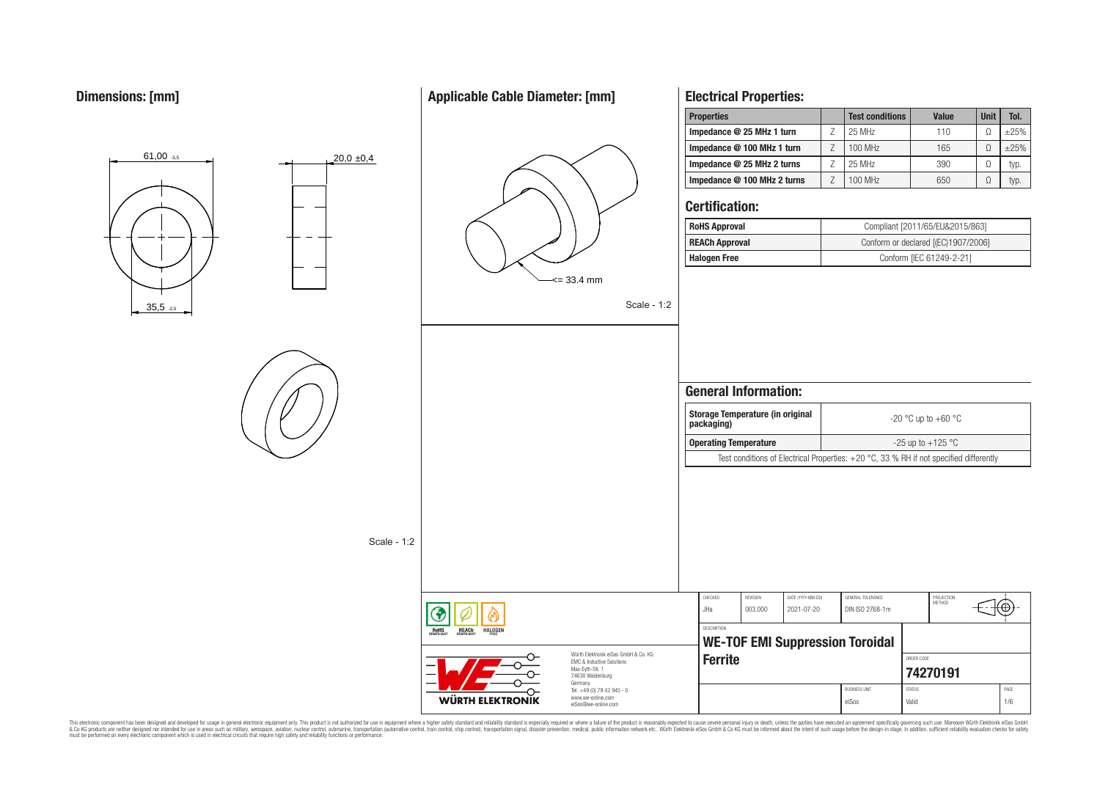# **Applicable Cable Diameter: [mm]**



**Electrical Properties:**

This electronic component has been designed and developed for usage in general electronic equipment only. This product is not authorized for use in equipment where a higher safely standard and reliability standard si espec & Ook product a label and the membed of the seasuch as marked and as which such a membed and the such assume that income in the seasuch and the simulation and the such assume that include to the such a membed and the such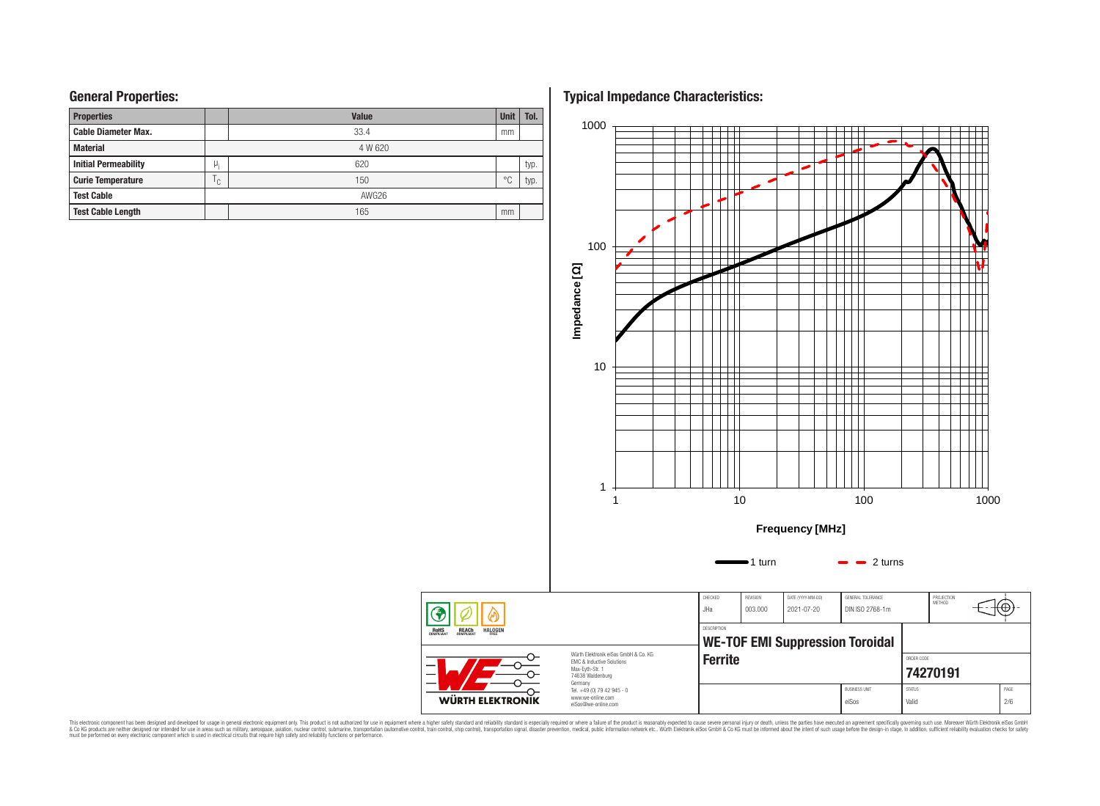# **General Properties:**

| <b>Properties</b>           |              | <b>Unit</b> | Tol.           |      |  |  |  |  |
|-----------------------------|--------------|-------------|----------------|------|--|--|--|--|
| <b>Cable Diameter Max.</b>  |              | 33.4        | mm             |      |  |  |  |  |
| <b>Material</b>             |              | 4 W 620     |                |      |  |  |  |  |
| <b>Initial Permeability</b> | μ,           | 620         |                | typ. |  |  |  |  |
| <b>Curie Temperature</b>    | $\mathsf{C}$ | 150         | $\circ$ $\cap$ | typ. |  |  |  |  |
| <b>Test Cable</b>           |              | AWG26       |                |      |  |  |  |  |
| <b>Test Cable Length</b>    |              | 165         | mm             |      |  |  |  |  |

**Typical Impedance Characteristics:**



This electronic component has been designed and developed for usage in general electronic equipment only. This product is not authorized for subserved requipment where a higher selection equipment where a higher selection

**RoHS**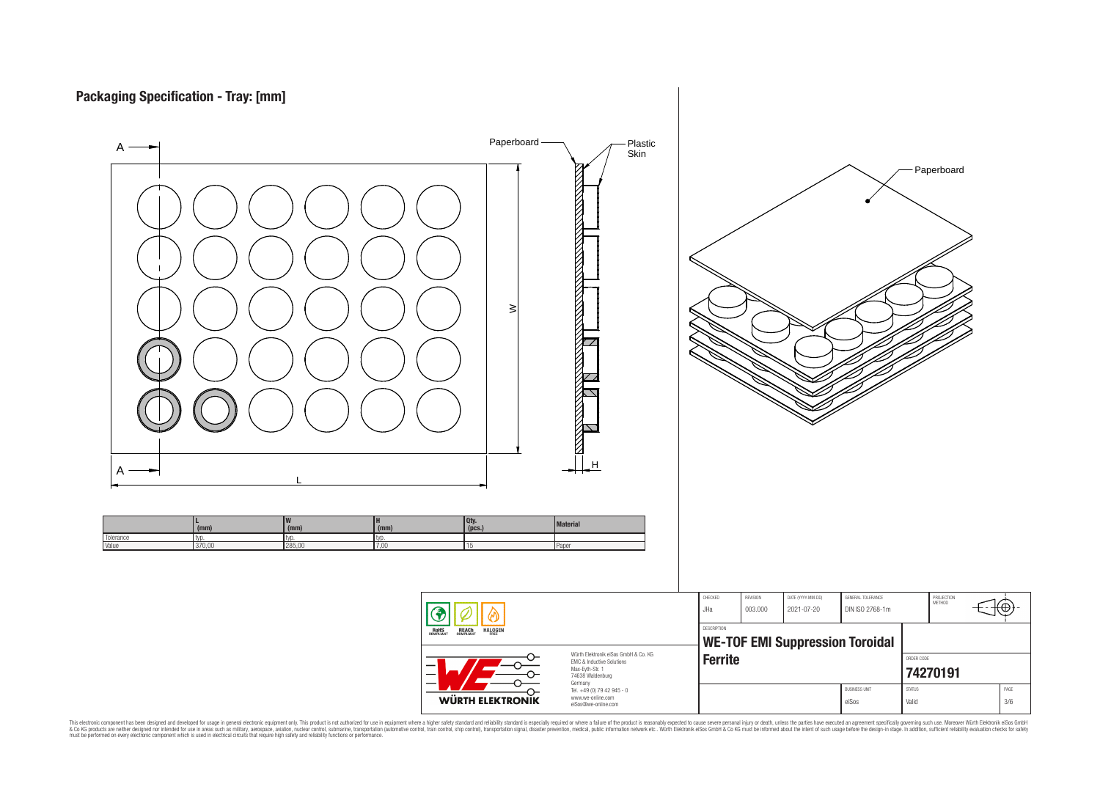

This electronic component has been designed and developed for usage in general electronic equipment only. This product is not authorized for subserved requipment where a higher selection equipment where a higher selection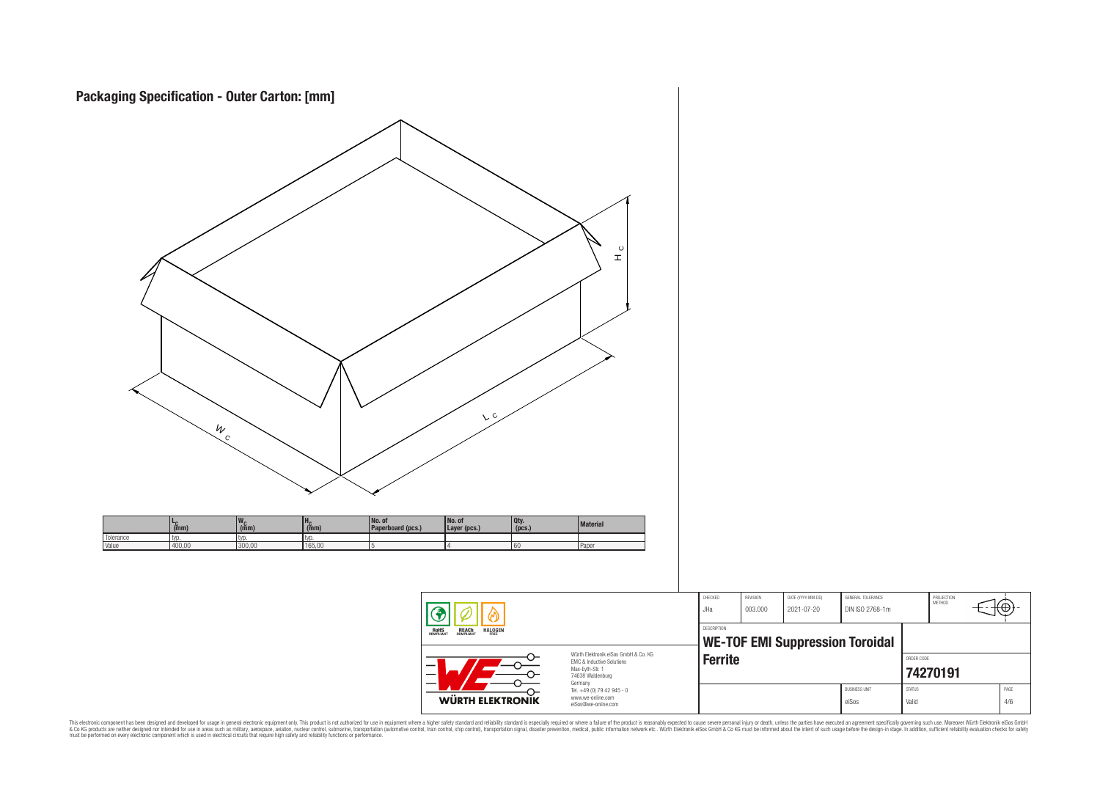

This electronic component has been designed and developed for usage in general electronic equipment only. This product is not authorized for subserved requipment where a higher selection equipment where a higher selection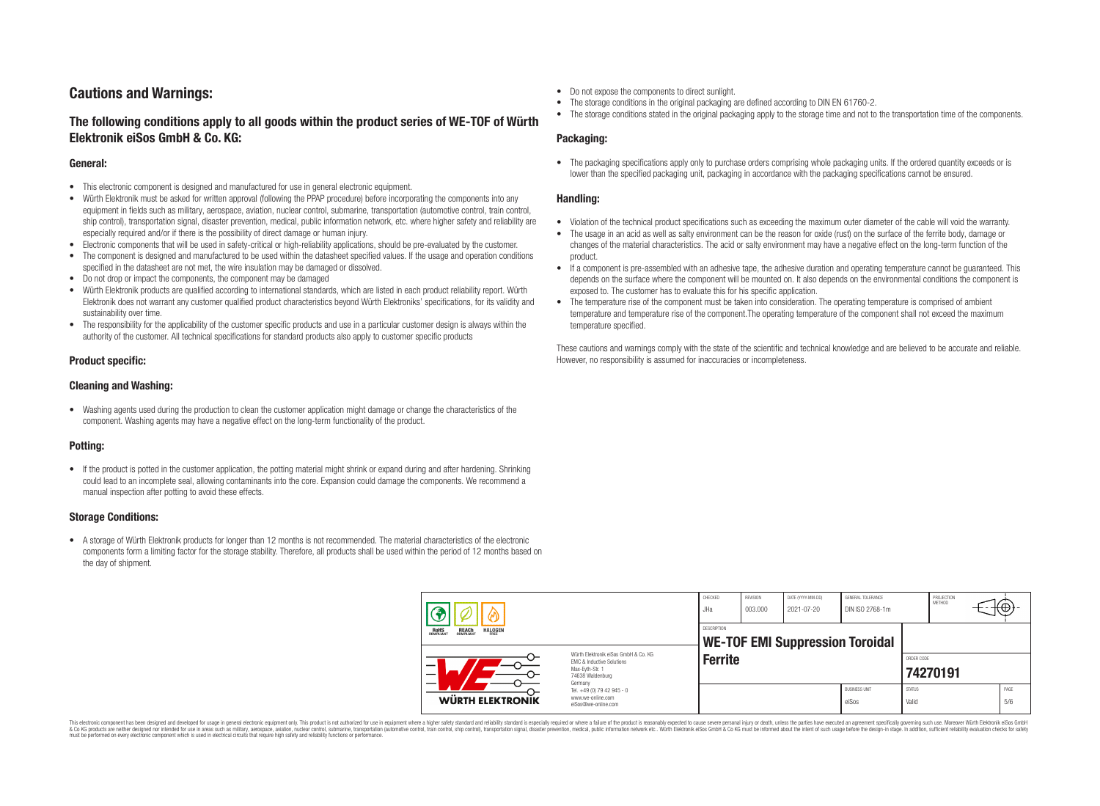# **Cautions and Warnings:**

# **The following conditions apply to all goods within the product series of WE-TOF of Würth Elektronik eiSos GmbH & Co. KG:**

#### **General:**

- This electronic component is designed and manufactured for use in general electronic equipment.
- Würth Elektronik must be asked for written approval (following the PPAP procedure) before incorporating the components into any equipment in fields such as military, aerospace, aviation, nuclear control, submarine, transportation (automotive control, train control, ship control), transportation signal, disaster prevention, medical, public information network, etc. where higher safety and reliability are especially required and/or if there is the possibility of direct damage or human injury.
- Electronic components that will be used in safety-critical or high-reliability applications, should be pre-evaluated by the customer.
- The component is designed and manufactured to be used within the datasheet specified values. If the usage and operation conditions specified in the datasheet are not met, the wire insulation may be damaged or dissolved.
- Do not drop or impact the components, the component may be damaged
- Würth Elektronik products are qualified according to international standards, which are listed in each product reliability report. Würth Elektronik does not warrant any customer qualified product characteristics beyond Würth Elektroniks' specifications, for its validity and sustainability over time.
- The responsibility for the applicability of the customer specific products and use in a particular customer design is always within the authority of the customer. All technical specifications for standard products also apply to customer specific products

### **Product specific:**

### **Cleaning and Washing:**

• Washing agents used during the production to clean the customer application might damage or change the characteristics of the component. Washing agents may have a negative effect on the long-term functionality of the product.

# **Potting:**

• If the product is potted in the customer application, the potting material might shrink or expand during and after hardening. Shrinking could lead to an incomplete seal, allowing contaminants into the core. Expansion could damage the components. We recommend a manual inspection after potting to avoid these effects.

### **Storage Conditions:**

• A storage of Würth Elektronik products for longer than 12 months is not recommended. The material characteristics of the electronic components form a limiting factor for the storage stability. Therefore, all products shall be used within the period of 12 months based on the day of shipment.

- Do not expose the components to direct sunlight.
- The storage conditions in the original packaging are defined according to DIN EN 61760-2.
- The storage conditions stated in the original packaging apply to the storage time and not to the transportation time of the components.

## **Packaging:**

• The packaging specifications apply only to purchase orders comprising whole packaging units. If the ordered quantity exceeds or is lower than the specified packaging unit, packaging in accordance with the packaging specifications cannot be ensured.

## **Handling:**

- Violation of the technical product specifications such as exceeding the maximum outer diameter of the cable will void the warranty.
- The usage in an acid as well as salty environment can be the reason for oxide (rust) on the surface of the ferrite body, damage or changes of the material characteristics. The acid or salty environment may have a negative effect on the long-term function of the product.
- If a component is pre-assembled with an adhesive tape, the adhesive duration and operating temperature cannot be guaranteed. This depends on the surface where the component will be mounted on. It also depends on the environmental conditions the component is exposed to. The customer has to evaluate this for his specific application.
- The temperature rise of the component must be taken into consideration. The operating temperature is comprised of ambient temperature and temperature rise of the component.The operating temperature of the component shall not exceed the maximum temperature specified.

These cautions and warnings comply with the state of the scientific and technical knowledge and are believed to be accurate and reliable. However, no responsibility is assumed for inaccuracies or incompleteness.

| <b>HALOGEN</b><br>ROHS<br>COMPLIANT<br><b>REACH</b><br>COMPLIANT<br>Würth Elektronik eiSos GmbH & Co. KG<br><b>EMC &amp; Inductive Solutions</b><br>–<br>Max-Evth-Str. 1<br>74638 Waldenburg |  | CHECKED<br>JHa                                                                    | REVISION<br>003.000 | DATE (YYYY-MM-DD)<br>2021-07-20 | GENERAL TOLERANCE<br>DIN ISO 2768-1m |                        | PROJECTION<br>METHOD   |  | ι€Ψ         |
|----------------------------------------------------------------------------------------------------------------------------------------------------------------------------------------------|--|-----------------------------------------------------------------------------------|---------------------|---------------------------------|--------------------------------------|------------------------|------------------------|--|-------------|
|                                                                                                                                                                                              |  | <b>DESCRIPTION</b><br><b>WE-TOF EMI Suppression Toroidal</b>                      |                     |                                 |                                      |                        |                        |  |             |
|                                                                                                                                                                                              |  | Germany<br>Tel. +49 (0) 79 42 945 - 0<br>www.we-online.com<br>eiSos@we-online.com | <b>Ferrite</b>      |                                 |                                      |                        | ORDER CODE<br>74270191 |  |             |
| WÜRTH ELEKTRONIK                                                                                                                                                                             |  |                                                                                   |                     |                                 | <b>BUSINESS UNIT</b><br>eiSos        | <b>STATUS</b><br>Valid |                        |  | PAGE<br>5/6 |

This electronic component has been designed and developed for usage in general electronic equipment only. This product is not authorized for use in equipment where a higher safety standard and reliability standard si espec & Ook product a label and the membed of the seasuch as marked and as which such a membed and the such assume that income in the seasuch and the simulation and the such assume that include to the such a membed and the such